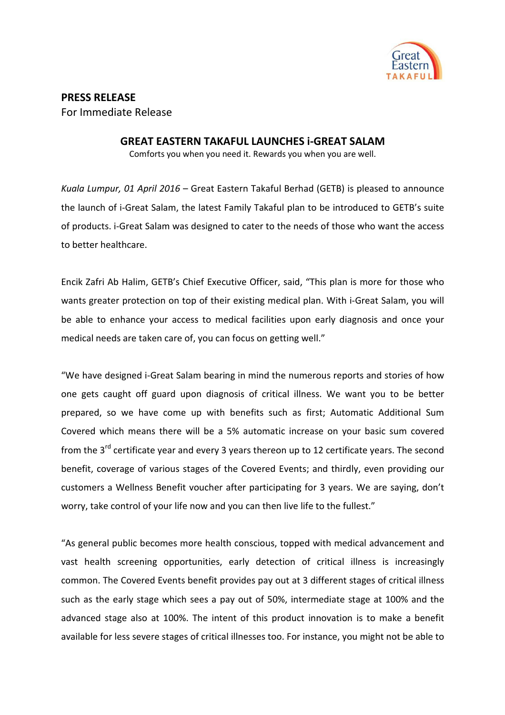

## **PRESS RELEASE**  For Immediate Release

## **GREAT EASTERN TAKAFUL LAUNCHES i-GREAT SALAM**

Comforts you when you need it. Rewards you when you are well.

*Kuala Lumpur, 01 April 2016* – Great Eastern Takaful Berhad (GETB) is pleased to announce the launch of i-Great Salam, the latest Family Takaful plan to be introduced to GETB's suite of products. i-Great Salam was designed to cater to the needs of those who want the access to better healthcare.

Encik Zafri Ab Halim, GETB's Chief Executive Officer, said, "This plan is more for those who wants greater protection on top of their existing medical plan. With i-Great Salam, you will be able to enhance your access to medical facilities upon early diagnosis and once your medical needs are taken care of, you can focus on getting well."

"We have designed i-Great Salam bearing in mind the numerous reports and stories of how one gets caught off guard upon diagnosis of critical illness. We want you to be better prepared, so we have come up with benefits such as first; Automatic Additional Sum Covered which means there will be a 5% automatic increase on your basic sum covered from the  $3<sup>rd</sup>$  certificate year and every 3 years thereon up to 12 certificate years. The second benefit, coverage of various stages of the Covered Events; and thirdly, even providing our customers a Wellness Benefit voucher after participating for 3 years. We are saying, don't worry, take control of your life now and you can then live life to the fullest."

"As general public becomes more health conscious, topped with medical advancement and vast health screening opportunities, early detection of critical illness is increasingly common. The Covered Events benefit provides pay out at 3 different stages of critical illness such as the early stage which sees a pay out of 50%, intermediate stage at 100% and the advanced stage also at 100%. The intent of this product innovation is to make a benefit available for less severe stages of critical illnesses too. For instance, you might not be able to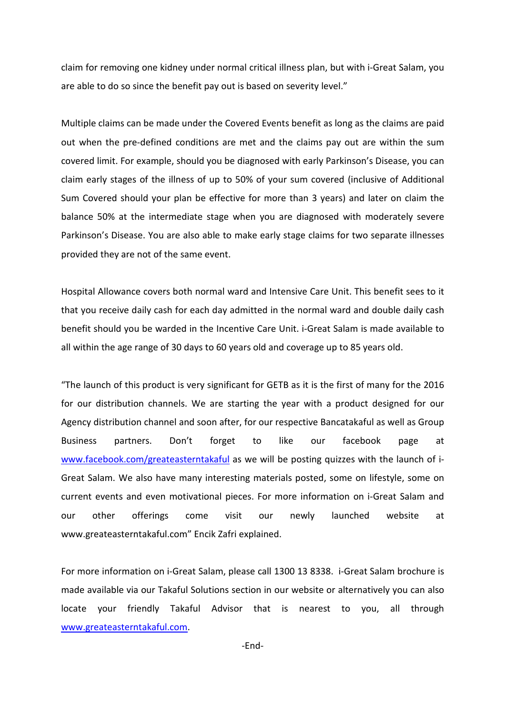claim for removing one kidney under normal critical illness plan, but with i-Great Salam, you are able to do so since the benefit pay out is based on severity level."

Multiple claims can be made under the Covered Events benefit as long as the claims are paid out when the pre-defined conditions are met and the claims pay out are within the sum covered limit. For example, should you be diagnosed with early Parkinson's Disease, you can claim early stages of the illness of up to 50% of your sum covered (inclusive of Additional Sum Covered should your plan be effective for more than 3 years) and later on claim the balance 50% at the intermediate stage when you are diagnosed with moderately severe Parkinson's Disease. You are also able to make early stage claims for two separate illnesses provided they are not of the same event.

Hospital Allowance covers both normal ward and Intensive Care Unit. This benefit sees to it that you receive daily cash for each day admitted in the normal ward and double daily cash benefit should you be warded in the Incentive Care Unit. i-Great Salam is made available to all within the age range of 30 days to 60 years old and coverage up to 85 years old.

"The launch of this product is very significant for GETB as it is the first of many for the 2016 for our distribution channels. We are starting the year with a product designed for our Agency distribution channel and soon after, for our respective Bancatakaful as well as Group Business partners. Don't forget to like our facebook page at www.facebook.com/greateasterntakaful as we will be posting quizzes with the launch of i-Great Salam. We also have many interesting materials posted, some on lifestyle, some on current events and even motivational pieces. For more information on i-Great Salam and our other offerings come visit our newly launched website at www.greateasterntakaful.com" Encik Zafri explained.

For more information on i-Great Salam, please call 1300 13 8338. i-Great Salam brochure is made available via our Takaful Solutions section in our website or alternatively you can also locate your friendly Takaful Advisor that is nearest to you, all through www.greateasterntakaful.com.